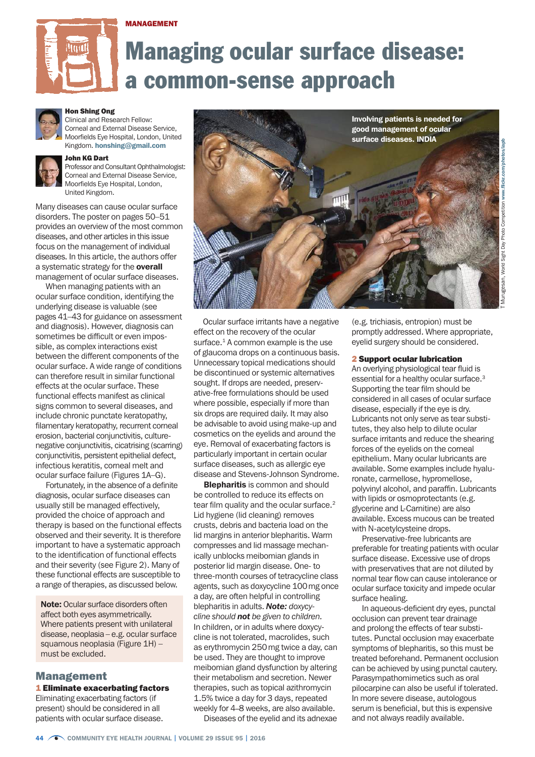#### MANAGEMENT



# Managing ocular surface disease: a common-sense approach



# Hon Shing Ong

Clinical and Research Fellow: Corneal and External Disease Service, Moorfields Eye Hospital, London, United Kingdom. [honshing@gmail.com](mailto:honshing%40gmail.com?subject=)



## John KG Dart

Professor and Consultant Ophthalmologist: Corneal and External Disease Service, Moorfields Eye Hospital, London, United Kingdom.

Many diseases can cause ocular surface disorders. The poster on pages 50–51 provides an overview of the most common diseases, and other articles in this issue focus on the management of individual diseases. In this article, the authors offer a systematic strategy for the overall management of ocular surface diseases.

When managing patients with an ocular surface condition, identifying the underlying disease is valuable (see pages 41–43 for guidance on assessment and diagnosis). However, diagnosis can sometimes be difficult or even impossible, as complex interactions exist between the different components of the ocular surface. A wide range of conditions can therefore result in similar functional effects at the ocular surface. These functional effects manifest as clinical signs common to several diseases, and include chronic punctate keratopathy, filamentary keratopathy, recurrent corneal erosion, bacterial conjunctivitis, culturenegative conjunctivitis, cicatrising (scarring) conjunctivitis, persistent epithelial defect, infectious keratitis, corneal melt and ocular surface failure (Figures 1A–G).

Fortunately, in the absence of a definite diagnosis, ocular surface diseases can usually still be managed effectively, provided the choice of approach and therapy is based on the functional effects observed and their severity. It is therefore important to have a systematic approach to the identification of functional effects and their severity (see Figure 2). Many of these functional effects are susceptible to a range of therapies, as discussed below.

Note: Ocular surface disorders often affect both eyes asymmetrically. Where patients present with unilateral disease, neoplasia – e.g. ocular surface squamous neoplasia (Figure 1H) – must be excluded.

### Management

### 1 Eliminate exacerbating factors

Eliminating exacerbating factors (if present) should be considered in all patients with ocular surface disease.



 Ocular surface irritants have a negative effect on the recovery of the ocular surface.<sup>1</sup> A common example is the use of glaucoma drops on a continuous basis. Unnecessary topical medications should be discontinued or systemic alternatives sought. If drops are needed, preservative-free formulations should be used where possible, especially if more than six drops are required daily. It may also be advisable to avoid using make-up and cosmetics on the eyelids and around the eye. Removal of exacerbating factors is particularly important in certain ocular surface diseases, such as allergic eye disease and Stevens-Johnson Syndrome.

**Blepharitis** is common and should be controlled to reduce its effects on tear film quality and the ocular surface.<sup>2</sup> Lid hygiene (lid cleaning) removes crusts, debris and bacteria load on the lid margins in anterior blepharitis. Warm compresses and lid massage mechanically unblocks meibomian glands in posterior lid margin disease. One- to three-month courses of tetracycline class agents, such as doxycycline 100mg once a day, are often helpful in controlling blepharitis in adults. *Note: doxycycline should not be given to children.* In children, or in adults where doxycycline is not tolerated, macrolides, such as erythromycin 250mg twice a day, can be used. They are thought to improve meibomian gland dysfunction by altering their metabolism and secretion. Newer therapies, such as topical azithromycin 1.5% twice a day for 3 days, repeated weekly for 4–8 weeks, are also available.

Diseases of the eyelid and its adnexae

(e.g. trichiasis, entropion) must be promptly addressed. Where appropriate, eyelid surgery should be considered.

### 2 Support ocular lubrication

An overlying physiological tear fluid is essential for a healthy ocular surface.3 Supporting the tear film should be considered in all cases of ocular surface disease, especially if the eye is dry. Lubricants not only serve as tear substitutes, they also help to dilute ocular surface irritants and reduce the shearing forces of the eyelids on the corneal epithelium. Many ocular lubricants are available. Some examples include hyaluronate, carmellose, hypromellose, polyvinyl alcohol, and paraffin. Lubricants with lipids or osmoprotectants (e.g. glycerine and L-Carnitine) are also available. Excess mucous can be treated with N-acetylcysteine drops.

Preservative-free lubricants are preferable for treating patients with ocular surface disease. Excessive use of drops with preservatives that are not diluted by normal tear flow can cause intolerance or ocular surface toxicity and impede ocular surface healing.

In aqueous-deficient dry eyes, punctal occlusion can prevent tear drainage and prolong the effects of tear substitutes. Punctal occlusion may exacerbate symptoms of blepharitis, so this must be treated beforehand. Permanent occlusion can be achieved by using punctal cautery. Parasympathomimetics such as oral pilocarpine can also be useful if tolerated. In more severe disease, autologous serum is beneficial, but this is expensive and not always readily available.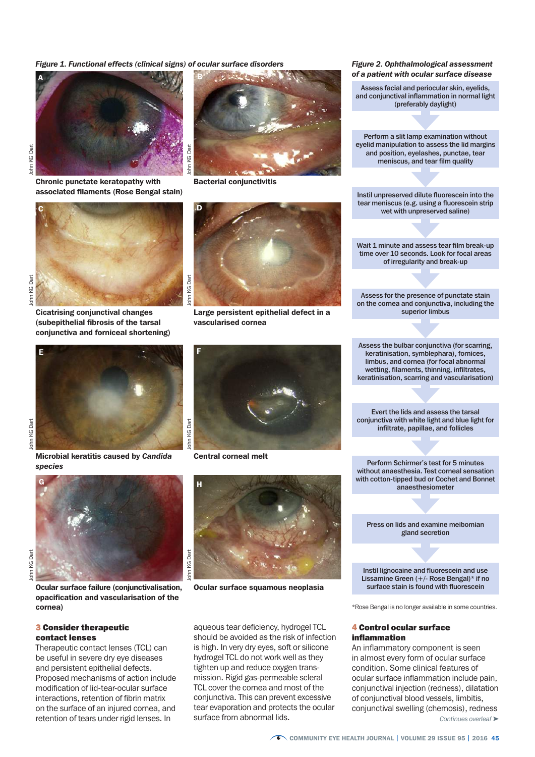*Figure 1. Functional effects (clinical signs) of ocular surface disorders*



Chronic punctate keratopathy with associated filaments (Rose Bengal stain)



ohn KG Dart John KG Dart

John KG Dart

lohn KG Dart

John KG Dart

John KG Dart

Cicatrising conjunctival changes (subepithelial fibrosis of the tarsal conjunctiva and forniceal shortening)



Microbial keratitis caused by *Candida species*



Ocular surface failure (conjunctivalisation, opacification and vascularisation of the cornea)

#### 3 Consider therapeutic contact lenses

Therapeutic contact lenses (TCL) can be useful in severe dry eye diseases and persistent epithelial defects. Proposed mechanisms of action include modification of lid-tear-ocular surface interactions, retention of fibrin matrix on the surface of an injured cornea, and retention of tears under rigid lenses. In



Bacterial conjunctivitis

Large persistent epithelial defect in a vascularised cornea

*Figure 2. Ophthalmological assessment of a patient with ocular surface disease*

Assess facial and periocular skin, eyelids, and conjunctival inflammation in normal light (preferably daylight)

Perform a slit lamp examination without eyelid manipulation to assess the lid margins and position, eyelashes, punctae, tear meniscus, and tear film quality

Instil unpreserved dilute fluorescein into the tear meniscus (e.g. using a fluorescein strip wet with unpreserved saline)

Wait 1 minute and assess tear film break-up time over 10 seconds. Look for focal areas of irregularity and break-up

Assess for the presence of punctate stain on the cornea and conjunctiva, including the superior limbus

Assess the bulbar conjunctiva (for scarring, keratinisation, symblephara), fornices, limbus, and cornea (for focal abnormal wetting, filaments, thinning, infiltrates, keratinisation, scarring and vascularisation)

Evert the lids and assess the tarsal conjunctiva with white light and blue light for infiltrate, papillae, and follicles

Perform Schirmer's test for 5 minutes without anaesthesia. Test corneal sensation with cotton-tipped bud or Cochet and Bonnet anaesthesiometer

Press on lids and examine meibomian gland secretion

Instil lignocaine and fluorescein and use Lissamine Green (+/- Rose Bengal)\* if no surface stain is found with fluorescein

\*Rose Bengal is no longer available in some countries.

#### 4 Control ocular surface inflammation

An inflammatory component is seen in almost every form of ocular surface condition. Some clinical features of ocular surface inflammation include pain, conjunctival injection (redness), dilatation of conjunctival blood vessels, limbitis, conjunctival swelling (chemosis), redness *Continues overleaf* ➤



Central corneal melt



Ocular surface squamous neoplasia

aqueous tear deficiency, hydrogel TCL should be avoided as the risk of infection is high. In very dry eyes, soft or silicone hydrogel TCL do not work well as they tighten up and reduce oxygen transmission. Rigid gas-permeable scleral TCL cover the cornea and most of the conjunctiva. This can prevent excessive tear evaporation and protects the ocular surface from abnormal lids.